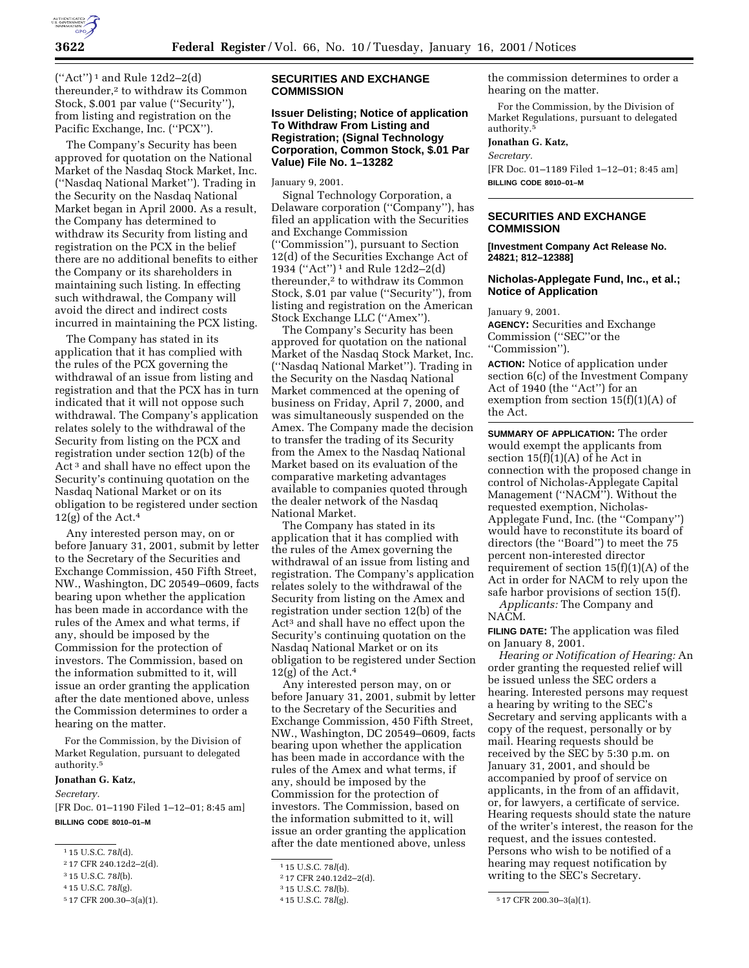

 $("Act")^1$  and Rule 12d2-2(d) thereunder,2 to withdraw its Common Stock, \$.001 par value (''Security''), from listing and registration on the Pacific Exchange, Inc. (''PCX'').

The Company's Security has been approved for quotation on the National Market of the Nasdaq Stock Market, Inc. (''Nasdaq National Market''). Trading in the Security on the Nasdaq National Market began in April 2000. As a result, the Company has determined to withdraw its Security from listing and registration on the PCX in the belief there are no additional benefits to either the Company or its shareholders in maintaining such listing. In effecting such withdrawal, the Company will avoid the direct and indirect costs incurred in maintaining the PCX listing.

The Company has stated in its application that it has complied with the rules of the PCX governing the withdrawal of an issue from listing and registration and that the PCX has in turn indicated that it will not oppose such withdrawal. The Company's application relates solely to the withdrawal of the Security from listing on the PCX and registration under section 12(b) of the Act 3 and shall have no effect upon the Security's continuing quotation on the Nasdaq National Market or on its obligation to be registered under section  $12(g)$  of the Act.<sup>4</sup>

Any interested person may, on or before January 31, 2001, submit by letter to the Secretary of the Securities and Exchange Commission, 450 Fifth Street, NW., Washington, DC 20549–0609, facts bearing upon whether the application has been made in accordance with the rules of the Amex and what terms, if any, should be imposed by the Commission for the protection of investors. The Commission, based on the information submitted to it, will issue an order granting the application after the date mentioned above, unless the Commission determines to order a hearing on the matter.

For the Commission, by the Division of Market Regulation, pursuant to delegated authority.5

#### **Jonathan G. Katz,**

*Secretary.*

[FR Doc. 01–1190 Filed 1–12–01; 8:45 am] **BILLING CODE 8010–01–M**

## **SECURITIES AND EXCHANGE COMMISSION**

# **Issuer Delisting; Notice of application To Withdraw From Listing and Registration; (Signal Technology Corporation, Common Stock, \$.01 Par Value) File No. 1–13282**

#### January 9, 2001.

Signal Technology Corporation, a Delaware corporation (''Company''), has filed an application with the Securities and Exchange Commission (''Commission''), pursuant to Section 12(d) of the Securities Exchange Act of 1934 (''Act'') 1 and Rule 12d2–2(d) thereunder,<sup>2</sup> to withdraw its Common Stock, \$.01 par value (''Security''), from listing and registration on the American Stock Exchange LLC (''Amex'').

The Company's Security has been approved for quotation on the national Market of the Nasdaq Stock Market, Inc. (''Nasdaq National Market''). Trading in the Security on the Nasdaq National Market commenced at the opening of business on Friday, April 7, 2000, and was simultaneously suspended on the Amex. The Company made the decision to transfer the trading of its Security from the Amex to the Nasdaq National Market based on its evaluation of the comparative marketing advantages available to companies quoted through the dealer network of the Nasdaq National Market.

The Company has stated in its application that it has complied with the rules of the Amex governing the withdrawal of an issue from listing and registration. The Company's application relates solely to the withdrawal of the Security from listing on the Amex and registration under section 12(b) of the Act3 and shall have no effect upon the Security's continuing quotation on the Nasdaq National Market or on its obligation to be registered under Section  $12(g)$  of the Act.<sup>4</sup>

Any interested person may, on or before January 31, 2001, submit by letter to the Secretary of the Securities and Exchange Commission, 450 Fifth Street, NW., Washington, DC 20549–0609, facts bearing upon whether the application has been made in accordance with the rules of the Amex and what terms, if any, should be imposed by the Commission for the protection of investors. The Commission, based on the information submitted to it, will issue an order granting the application after the date mentioned above, unless

the commission determines to order a hearing on the matter.

For the Commission, by the Division of Market Regulations, pursuant to delegated authority.<sup>5</sup>

**Jonathan G. Katz,**

*Secretary.*

[FR Doc. 01–1189 Filed 1–12–01; 8:45 am] **BILLING CODE 8010–01–M**

# **SECURITIES AND EXCHANGE COMMISSION**

**[Investment Company Act Release No. 24821; 812–12388]**

## **Nicholas-Applegate Fund, Inc., et al.; Notice of Application**

January 9, 2001.

**AGENCY:** Securities and Exchange Commission (''SEC''or the ''Commission'').

**ACTION:** Notice of application under section 6(c) of the Investment Company Act of 1940 (the ''Act'') for an exemption from section  $15(f)(1)(A)$  of the Act.

**SUMMARY OF APPLICATION:** The order would exempt the applicants from section  $15(f)(1)(A)$  of he Act in connection with the proposed change in control of Nicholas-Applegate Capital Management (''NACM''). Without the requested exemption, Nicholas-Applegate Fund, Inc. (the ''Company'') would have to reconstitute its board of directors (the ''Board'') to meet the 75 percent non-interested director requirement of section  $15(f)(1)(A)$  of the Act in order for NACM to rely upon the safe harbor provisions of section 15(f).

*Applicants:* The Company and NACM.

**FILING DATE:** The application was filed on January 8, 2001.

*Hearing or Notification of Hearing:* An order granting the requested relief will be issued unless the SEC orders a hearing. Interested persons may request a hearing by writing to the SEC's Secretary and serving applicants with a copy of the request, personally or by mail. Hearing requests should be received by the SEC by 5:30 p.m. on January 31, 2001, and should be accompanied by proof of service on applicants, in the from of an affidavit, or, for lawyers, a certificate of service. Hearing requests should state the nature of the writer's interest, the reason for the request, and the issues contested. Persons who wish to be notified of a hearing may request notification by writing to the SEC's Secretary.

<sup>1</sup> 15 U.S.C. 78*l*(d).

<sup>2</sup> 17 CFR 240.12d2–2(d).

<sup>3</sup> 15 U.S.C. 78*l*(b). 4 15 U.S.C. 78*l*(g).

<sup>5</sup> 17 CFR 200.30–3(a)(1).

<sup>1</sup> 15 U.S.C. 78*l*(d).

<sup>2</sup> 17 CFR 240.12d2–2(d).

<sup>3</sup> 15 U.S.C. 78*l*(b).

<sup>&</sup>lt;sup>5</sup> 17 CFR 200.30-3(a)(1).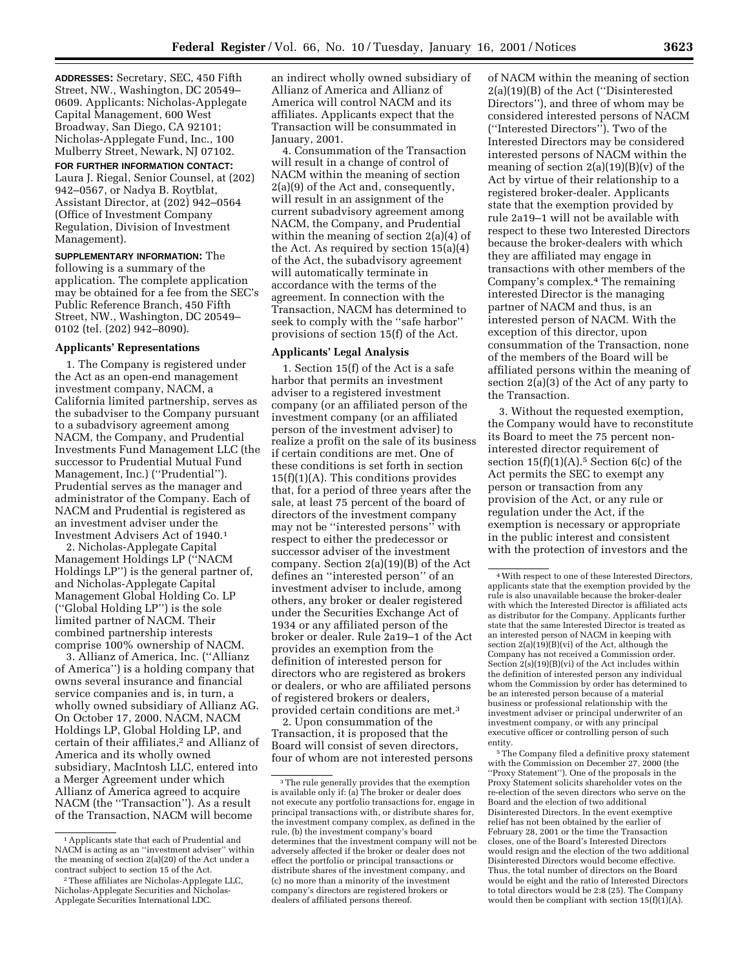**ADDRESSES:** Secretary, SEC, 450 Fifth Street, NW., Washington, DC 20549– 0609. Applicants: Nicholas-Applegate Capital Management, 600 West Broadway, San Diego, CA 92101; Nicholas-Applegate Fund, Inc., 100 Mulberry Street, Newark, NJ 07102.

**FOR FURTHER INFORMATION CONTACT:** Laura J. Riegal, Senior Counsel, at (202) 942–0567, or Nadya B. Roytblat, Assistant Director, at (202) 942–0564 (Office of Investment Company Regulation, Division of Investment Management).

**SUPPLEMENTARY INFORMATION:** The following is a summary of the application. The complete application may be obtained for a fee from the SEC's Public Reference Branch, 450 Fifth Street, NW., Washington, DC 20549– 0102 (tel. (202) 942–8090).

#### **Applicants' Representations**

1. The Company is registered under the Act as an open-end management investment company, NACM, a California limited partnership, serves as the subadviser to the Company pursuant to a subadvisory agreement among NACM, the Company, and Prudential Investments Fund Management LLC (the successor to Prudential Mutual Fund Management, Inc.) (''Prudential''). Prudential serves as the manager and administrator of the Company. Each of NACM and Prudential is registered as an investment adviser under the Investment Advisers Act of 1940.1

2. Nicholas-Applegate Capital Management Holdings LP (''NACM Holdings LP'') is the general partner of, and Nicholas-Applegate Capital Management Global Holding Co. LP (''Global Holding LP'') is the sole limited partner of NACM. Their combined partnership interests comprise 100% ownership of NACM.

3. Allianz of America, Inc. (''Allianz of America'') is a holding company that owns several insurance and financial service companies and is, in turn, a wholly owned subsidiary of Allianz AG. On October 17, 2000, NACM, NACM Holdings LP, Global Holding LP, and certain of their affiliates,<sup>2</sup> and Allianz of America and its wholly owned subsidiary, MacIntosh LLC, entered into a Merger Agreement under which Allianz of America agreed to acquire NACM (the ''Transaction''). As a result of the Transaction, NACM will become

an indirect wholly owned subsidiary of Allianz of America and Allianz of America will control NACM and its affiliates. Applicants expect that the Transaction will be consummated in January, 2001.

4. Consummation of the Transaction will result in a change of control of NACM within the meaning of section 2(a)(9) of the Act and, consequently, will result in an assignment of the current subadvisory agreement among NACM, the Company, and Prudential within the meaning of section 2(a)(4) of the Act. As required by section 15(a)(4) of the Act, the subadvisory agreement will automatically terminate in accordance with the terms of the agreement. In connection with the Transaction, NACM has determined to seek to comply with the ''safe harbor'' provisions of section 15(f) of the Act.

### **Applicants' Legal Analysis**

1. Section 15(f) of the Act is a safe harbor that permits an investment adviser to a registered investment company (or an affiliated person of the investment company (or an affiliated person of the investment adviser) to realize a profit on the sale of its business if certain conditions are met. One of these conditions is set forth in section  $15(f)(1)(A)$ . This conditions provides that, for a period of three years after the sale, at least 75 percent of the board of directors of the investment company may not be ''interested persons'' with respect to either the predecessor or successor adviser of the investment company. Section 2(a)(19)(B) of the Act defines an ''interested person'' of an investment adviser to include, among others, any broker or dealer registered under the Securities Exchange Act of 1934 or any affiliated person of the broker or dealer. Rule 2a19–1 of the Act provides an exemption from the definition of interested person for directors who are registered as brokers or dealers, or who are affiliated persons of registered brokers or dealers, provided certain conditions are met.3

2. Upon consummation of the Transaction, it is proposed that the Board will consist of seven directors, four of whom are not interested persons of NACM within the meaning of section 2(a)(19)(B) of the Act (''Disinterested Directors''), and three of whom may be considered interested persons of NACM (''Interested Directors''). Two of the Interested Directors may be considered interested persons of NACM within the meaning of section  $2(a)(19)(B)(v)$  of the Act by virtue of their relationship to a registered broker-dealer. Applicants state that the exemption provided by rule 2a19–1 will not be available with respect to these two Interested Directors because the broker-dealers with which they are affiliated may engage in transactions with other members of the Company's complex.4 The remaining interested Director is the managing partner of NACM and thus, is an interested person of NACM. With the exception of this director, upon consummation of the Transaction, none of the members of the Board will be affiliated persons within the meaning of section 2(a)(3) of the Act of any party to the Transaction.

3. Without the requested exemption, the Company would have to reconstitute its Board to meet the 75 percent noninterested director requirement of section  $15(f)(1)(A)$ .<sup>5</sup> Section  $6(c)$  of the Act permits the SEC to exempt any person or transaction from any provision of the Act, or any rule or regulation under the Act, if the exemption is necessary or appropriate in the public interest and consistent with the protection of investors and the

5The Company filed a definitive proxy statement with the Commission on December 27, 2000 (the ''Proxy Statement''). One of the proposals in the Proxy Statement solicits shareholder votes on the re-election of the seven directors who serve on the Board and the election of two additional Disinterested Directors. In the event exemptive relief has not been obtained by the earlier of February 28, 2001 or the time the Transaction closes, one of the Board's Interested Directors would resign and the election of the two additional Disinterested Directors would become effective. Thus, the total number of directors on the Board would be eight and the ratio of Interested Directors to total directors would be 2:8 (25). The Company would then be compliant with section  $15(f)(1)(A)$ .

<sup>&</sup>lt;sup>1</sup> Applicants state that each of Prudential and NACM is acting as an ''investment adviser'' within the meaning of section 2(a)(20) of the Act under a contract subject to section 15 of the Act.

<sup>2</sup>These affiliates are Nicholas-Applegate LLC, Nicholas-Applegate Securities and Nicholas-Applegate Securities International LDC.

<sup>3</sup>The rule generally provides that the exemption is available only if: (a) The broker or dealer does not execute any portfolio transactions for, engage in principal transactions with, or distribute shares for, the investment company complex, as defined in the rule, (b) the investment company's board determines that the investment company will not be adversely affected if the broker or dealer does not effect the portfolio or principal transactions or distribute shares of the investment company, and (c) no more than a minority of the investment company's directors are registered brokers or dealers of affiliated persons thereof.

<sup>4</sup>With respect to one of these Interested Directors, applicants state that the exemption provided by the rule is also unavailable because the broker-dealer with which the Interested Director is affiliated acts as distributor for the Company. Applicants further state that the same Interested Director is treated as an interested person of NACM in keeping with section  $2(a)(19)(B)(vi)$  of the Act, although the Company has not received a Commission order. Section 2(s)(19)(B)(vi) of the Act includes within the definition of interested person any individual whom the Commission by order has determined to be an interested person because of a material business or professional relationship with the investment adviser or principal underwriter of an investment company, or with any principal executive officer or controlling person of such entity.